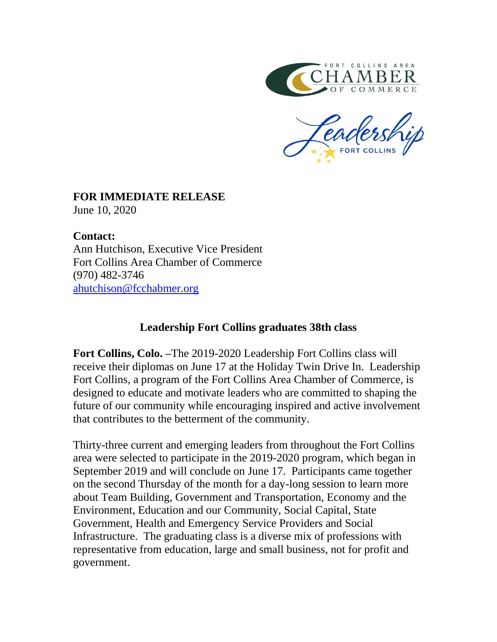

## **FOR IMMEDIATE RELEASE**

June 10, 2020

## **Contact:**

Ann Hutchison, Executive Vice President Fort Collins Area Chamber of Commerce (970) 482-3746 [ahutchison@fcchabmer.org](mailto:cmerrill@fcchamber.org)

## **Leadership Fort Collins graduates 38th class**

**Fort Collins, Colo. –**The 2019-2020 Leadership Fort Collins class will receive their diplomas on June 17 at the Holiday Twin Drive In. Leadership Fort Collins, a program of the Fort Collins Area Chamber of Commerce, is designed to educate and motivate leaders who are committed to shaping the future of our community while encouraging inspired and active involvement that contributes to the betterment of the community.

Thirty-three current and emerging leaders from throughout the Fort Collins area were selected to participate in the 2019-2020 program, which began in September 2019 and will conclude on June 17. Participants came together on the second Thursday of the month for a day-long session to learn more about Team Building, Government and Transportation, Economy and the Environment, Education and our Community, Social Capital, State Government, Health and Emergency Service Providers and Social Infrastructure. The graduating class is a diverse mix of professions with representative from education, large and small business, not for profit and government.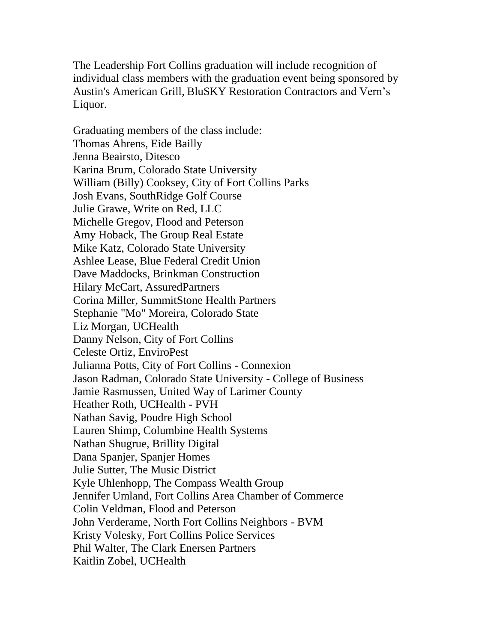The Leadership Fort Collins graduation will include recognition of individual class members with the graduation event being sponsored by Austin's American Grill, BluSKY Restoration Contractors and Vern's Liquor.

Graduating members of the class include: Thomas Ahrens, Eide Bailly Jenna Beairsto, Ditesco Karina Brum, Colorado State University William (Billy) Cooksey, City of Fort Collins Parks Josh Evans, SouthRidge Golf Course Julie Grawe, Write on Red, LLC Michelle Gregov, Flood and Peterson Amy Hoback, The Group Real Estate Mike Katz, Colorado State University Ashlee Lease, Blue Federal Credit Union Dave Maddocks, Brinkman Construction Hilary McCart, AssuredPartners Corina Miller, SummitStone Health Partners Stephanie "Mo" Moreira, Colorado State Liz Morgan, UCHealth Danny Nelson, City of Fort Collins Celeste Ortiz, EnviroPest Julianna Potts, City of Fort Collins - Connexion Jason Radman, Colorado State University - College of Business Jamie Rasmussen, United Way of Larimer County Heather Roth, UCHealth - PVH Nathan Savig, Poudre High School Lauren Shimp, Columbine Health Systems Nathan Shugrue, Brillity Digital Dana Spanjer, Spanjer Homes Julie Sutter, The Music District Kyle Uhlenhopp, The Compass Wealth Group Jennifer Umland, Fort Collins Area Chamber of Commerce Colin Veldman, Flood and Peterson John Verderame, North Fort Collins Neighbors - BVM Kristy Volesky, Fort Collins Police Services Phil Walter, The Clark Enersen Partners Kaitlin Zobel, UCHealth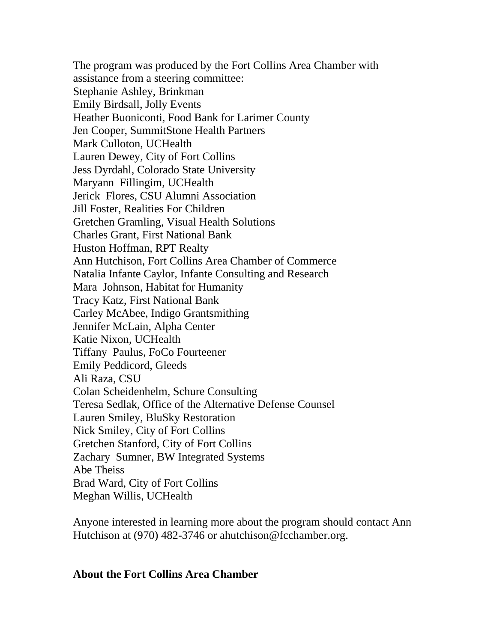The program was produced by the Fort Collins Area Chamber with assistance from a steering committee: Stephanie Ashley, Brinkman Emily Birdsall, Jolly Events Heather Buoniconti, Food Bank for Larimer County Jen Cooper, SummitStone Health Partners Mark Culloton, UCHealth Lauren Dewey, City of Fort Collins Jess Dyrdahl, Colorado State University Maryann Fillingim, UCHealth Jerick Flores, CSU Alumni Association Jill Foster, Realities For Children Gretchen Gramling, Visual Health Solutions Charles Grant, First National Bank Huston Hoffman, RPT Realty Ann Hutchison, Fort Collins Area Chamber of Commerce Natalia Infante Caylor, Infante Consulting and Research Mara Johnson, Habitat for Humanity Tracy Katz, First National Bank Carley McAbee, Indigo Grantsmithing Jennifer McLain, Alpha Center Katie Nixon, UCHealth Tiffany Paulus, FoCo Fourteener Emily Peddicord, Gleeds Ali Raza, CSU Colan Scheidenhelm, Schure Consulting Teresa Sedlak, Office of the Alternative Defense Counsel Lauren Smiley, BluSky Restoration Nick Smiley, City of Fort Collins Gretchen Stanford, City of Fort Collins Zachary Sumner, BW Integrated Systems Abe Theiss Brad Ward, City of Fort Collins Meghan Willis, UCHealth

Anyone interested in learning more about the program should contact Ann Hutchison at (970) 482-3746 or ahutchison@fcchamber.org.

## **About the Fort Collins Area Chamber**